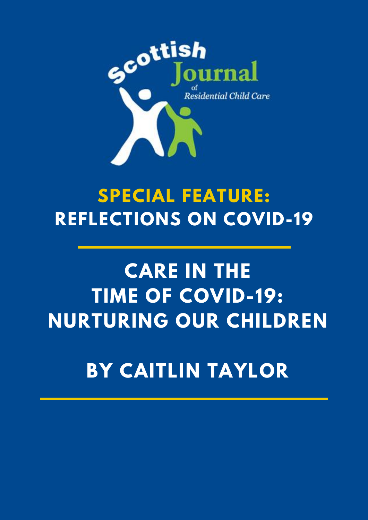

## **SPECIAL FEATURE: REFLECTIONS ON COVID-19**

# **CARE IN THE TIME OF COVID-19: NURTURING OUR CHILDREN**

### **BY CAITLIN TAYLOR**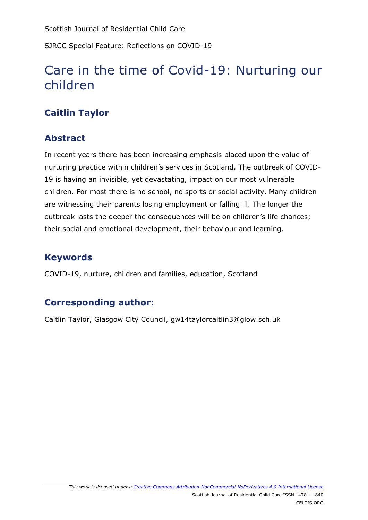Scottish Journal of Residential Child Care

SJRCC Special Feature: Reflections on COVID-19

### Care in the time of Covid-19: Nurturing our children

#### **Caitlin Taylor**

#### **Abstract**

In recent years there has been increasing emphasis placed upon the value of nurturing practice within children's services in Scotland. The outbreak of COVID-19 is having an invisible, yet devastating, impact on our most vulnerable children. For most there is no school, no sports or social activity. Many children are witnessing their parents losing employment or falling ill. The longer the outbreak lasts the deeper the consequences will be on children's life chances; their social and emotional development, their behaviour and learning.

#### **Keywords**

COVID-19, nurture, children and families, education, Scotland

#### **Corresponding author:**

Caitlin Taylor, Glasgow City Council, gw14taylorcaitlin3@glow.sch.uk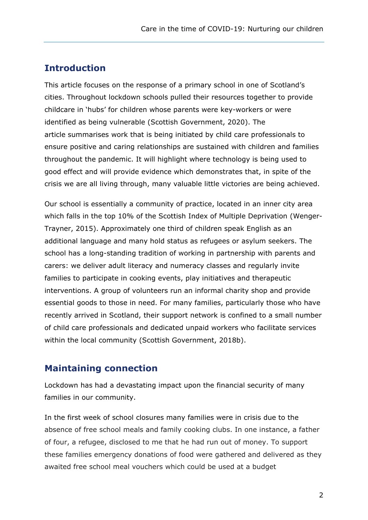#### **Introduction**

This article focuses on the response of a primary school in one of Scotland's cities. Throughout lockdown schools pulled their resources together to provide childcare in 'hubs' for children whose parents were key-workers or were identified as being vulnerable (Scottish Government, 2020). The article summarises work that is being initiated by child care professionals to ensure positive and caring relationships are sustained with children and families throughout the pandemic. It will highlight where technology is being used to good effect and will provide evidence which demonstrates that, in spite of the crisis we are all living through, many valuable little victories are being achieved.

Our school is essentially a community of practice, located in an inner city area which falls in the top 10% of the Scottish Index of Multiple Deprivation (Wenger-Trayner, 2015). Approximately one third of children speak English as an additional language and many hold status as refugees or asylum seekers. The school has a long-standing tradition of working in partnership with parents and carers: we deliver adult literacy and numeracy classes and regularly invite families to participate in cooking events, play initiatives and therapeutic interventions. A group of volunteers run an informal charity shop and provide essential goods to those in need. For many families, particularly those who have recently arrived in Scotland, their support network is confined to a small number of child care professionals and dedicated unpaid workers who facilitate services within the local community (Scottish Government, 2018b).

#### **Maintaining connection**

Lockdown has had a devastating impact upon the financial security of many families in our community.

In the first week of school closures many families were in crisis due to the absence of free school meals and family cooking clubs. In one instance, a father of four, a refugee, disclosed to me that he had run out of money. To support these families emergency donations of food were gathered and delivered as they awaited free school meal vouchers which could be used at a budget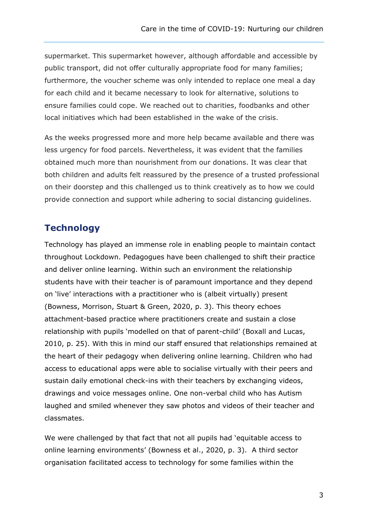supermarket. This supermarket however, although affordable and accessible by public transport, did not offer culturally appropriate food for many families; furthermore, the voucher scheme was only intended to replace one meal a day for each child and it became necessary to look for alternative, solutions to ensure families could cope. We reached out to charities, foodbanks and other local initiatives which had been established in the wake of the crisis.

As the weeks progressed more and more help became available and there was less urgency for food parcels. Nevertheless, it was evident that the families obtained much more than nourishment from our donations. It was clear that both children and adults felt reassured by the presence of a trusted professional on their doorstep and this challenged us to think creatively as to how we could provide connection and support while adhering to social distancing guidelines.

#### **Technology**

Technology has played an immense role in enabling people to maintain contact throughout Lockdown. Pedagogues have been challenged to shift their practice and deliver online learning. Within such an environment the relationship students have with their teacher is of paramount importance and they depend on 'live' interactions with a practitioner who is (albeit virtually) present (Bowness, Morrison, Stuart & Green, 2020, p. 3). This theory echoes attachment-based practice where practitioners create and sustain a close relationship with pupils 'modelled on that of parent-child' (Boxall and Lucas, 2010, p. 25). With this in mind our staff ensured that relationships remained at the heart of their pedagogy when delivering online learning. Children who had access to educational apps were able to socialise virtually with their peers and sustain daily emotional check-ins with their teachers by exchanging videos, drawings and voice messages online. One non-verbal child who has Autism laughed and smiled whenever they saw photos and videos of their teacher and classmates.

We were challenged by that fact that not all pupils had 'equitable access to online learning environments' (Bowness et al., 2020, p. 3). A third sector organisation facilitated access to technology for some families within the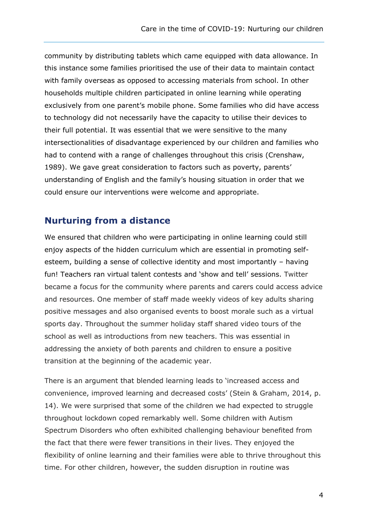community by distributing tablets which came equipped with data allowance. In this instance some families prioritised the use of their data to maintain contact with family overseas as opposed to accessing materials from school. In other households multiple children participated in online learning while operating exclusively from one parent's mobile phone. Some families who did have access to technology did not necessarily have the capacity to utilise their devices to their full potential. It was essential that we were sensitive to the many intersectionalities of disadvantage experienced by our children and families who had to contend with a range of challenges throughout this crisis (Crenshaw, 1989). We gave great consideration to factors such as poverty, parents' understanding of English and the family's housing situation in order that we could ensure our interventions were welcome and appropriate.

#### **Nurturing from a distance**

We ensured that children who were participating in online learning could still enjoy aspects of the hidden curriculum which are essential in promoting selfesteem, building a sense of collective identity and most importantly – having fun! Teachers ran virtual talent contests and 'show and tell' sessions. Twitter became a focus for the community where parents and carers could access advice and resources. One member of staff made weekly videos of key adults sharing positive messages and also organised events to boost morale such as a virtual sports day. Throughout the summer holiday staff shared video tours of the school as well as introductions from new teachers. This was essential in addressing the anxiety of both parents and children to ensure a positive transition at the beginning of the academic year.

There is an argument that blended learning leads to 'increased access and convenience, improved learning and decreased costs' (Stein & Graham, 2014, p. 14). We were surprised that some of the children we had expected to struggle throughout lockdown coped remarkably well. Some children with Autism Spectrum Disorders who often exhibited challenging behaviour benefited from the fact that there were fewer transitions in their lives. They enjoyed the flexibility of online learning and their families were able to thrive throughout this time. For other children, however, the sudden disruption in routine was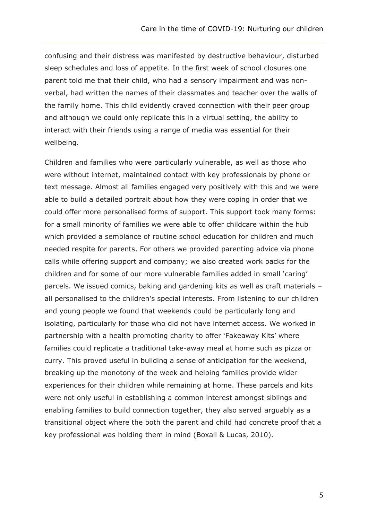confusing and their distress was manifested by destructive behaviour, disturbed sleep schedules and loss of appetite. In the first week of school closures one parent told me that their child, who had a sensory impairment and was nonverbal, had written the names of their classmates and teacher over the walls of the family home. This child evidently craved connection with their peer group and although we could only replicate this in a virtual setting, the ability to interact with their friends using a range of media was essential for their wellbeing.

Children and families who were particularly vulnerable, as well as those who were without internet, maintained contact with key professionals by phone or text message. Almost all families engaged very positively with this and we were able to build a detailed portrait about how they were coping in order that we could offer more personalised forms of support. This support took many forms: for a small minority of families we were able to offer childcare within the hub which provided a semblance of routine school education for children and much needed respite for parents. For others we provided parenting advice via phone calls while offering support and company; we also created work packs for the children and for some of our more vulnerable families added in small 'caring' parcels. We issued comics, baking and gardening kits as well as craft materials – all personalised to the children's special interests. From listening to our children and young people we found that weekends could be particularly long and isolating, particularly for those who did not have internet access. We worked in partnership with a health promoting charity to offer 'Fakeaway Kits' where families could replicate a traditional take-away meal at home such as pizza or curry. This proved useful in building a sense of anticipation for the weekend, breaking up the monotony of the week and helping families provide wider experiences for their children while remaining at home. These parcels and kits were not only useful in establishing a common interest amongst siblings and enabling families to build connection together, they also served arguably as a transitional object where the both the parent and child had concrete proof that a key professional was holding them in mind (Boxall & Lucas, 2010).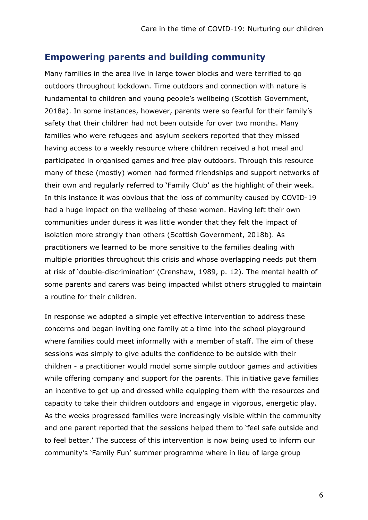#### **Empowering parents and building community**

Many families in the area live in large tower blocks and were terrified to go outdoors throughout lockdown. Time outdoors and connection with nature is fundamental to children and young people's wellbeing (Scottish Government, 2018a). In some instances, however, parents were so fearful for their family's safety that their children had not been outside for over two months. Many families who were refugees and asylum seekers reported that they missed having access to a weekly resource where children received a hot meal and participated in organised games and free play outdoors. Through this resource many of these (mostly) women had formed friendships and support networks of their own and regularly referred to 'Family Club' as the highlight of their week. In this instance it was obvious that the loss of community caused by COVID-19 had a huge impact on the wellbeing of these women. Having left their own communities under duress it was little wonder that they felt the impact of isolation more strongly than others (Scottish Government, 2018b). As practitioners we learned to be more sensitive to the families dealing with multiple priorities throughout this crisis and whose overlapping needs put them at risk of 'double-discrimination' (Crenshaw, 1989, p. 12). The mental health of some parents and carers was being impacted whilst others struggled to maintain a routine for their children.

In response we adopted a simple yet effective intervention to address these concerns and began inviting one family at a time into the school playground where families could meet informally with a member of staff. The aim of these sessions was simply to give adults the confidence to be outside with their children - a practitioner would model some simple outdoor games and activities while offering company and support for the parents. This initiative gave families an incentive to get up and dressed while equipping them with the resources and capacity to take their children outdoors and engage in vigorous, energetic play. As the weeks progressed families were increasingly visible within the community and one parent reported that the sessions helped them to 'feel safe outside and to feel better.' The success of this intervention is now being used to inform our community's 'Family Fun' summer programme where in lieu of large group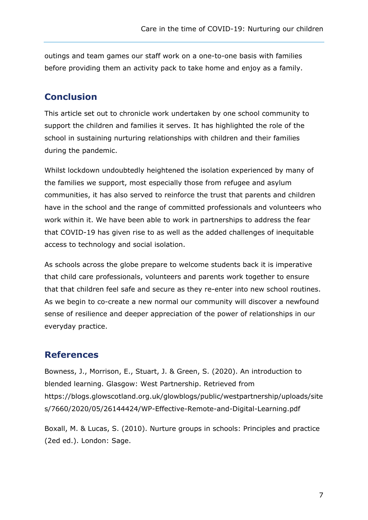outings and team games our staff work on a one-to-one basis with families before providing them an activity pack to take home and enjoy as a family.

#### **Conclusion**

This article set out to chronicle work undertaken by one school community to support the children and families it serves. It has highlighted the role of the school in sustaining nurturing relationships with children and their families during the pandemic.

Whilst lockdown undoubtedly heightened the isolation experienced by many of the families we support, most especially those from refugee and asylum communities, it has also served to reinforce the trust that parents and children have in the school and the range of committed professionals and volunteers who work within it. We have been able to work in partnerships to address the fear that COVID-19 has given rise to as well as the added challenges of inequitable access to technology and social isolation.

As schools across the globe prepare to welcome students back it is imperative that child care professionals, volunteers and parents work together to ensure that that children feel safe and secure as they re-enter into new school routines. As we begin to co-create a new normal our community will discover a newfound sense of resilience and deeper appreciation of the power of relationships in our everyday practice.

#### **References**

Bowness, J., Morrison, E., Stuart, J. & Green, S. (2020). An introduction to blended learning. Glasgow: West Partnership. Retrieved from [https://blogs.glowscotland.org.uk/glowblogs/public/westpartnership/uploads/site](https://blogs.glowscotland.org.uk/glowblogs/public/westpartnership/uploads/sites/7660/2020/05/26144424/WP-Effective-Remote-and-Digital-Learning.pdf) [s/7660/2020/05/26144424/WP-Effective-Remote-and-Digital-Learning.pdf](https://blogs.glowscotland.org.uk/glowblogs/public/westpartnership/uploads/sites/7660/2020/05/26144424/WP-Effective-Remote-and-Digital-Learning.pdf)

Boxall, M. & Lucas, S. (2010). Nurture groups in schools: Principles and practice (2ed ed.). London: Sage.